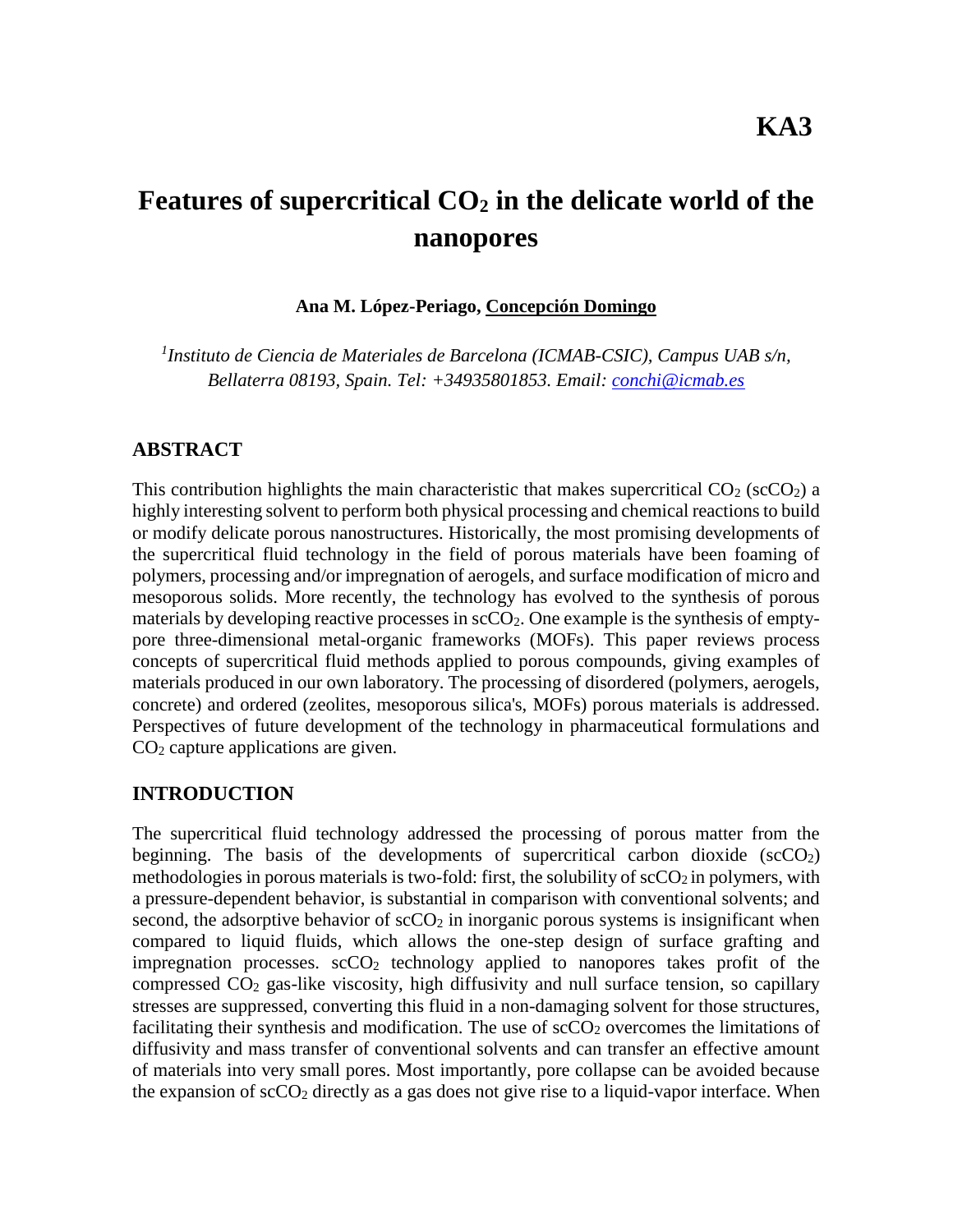# **Features of supercritical CO<sup>2</sup> in the delicate world of the nanopores**

**Ana M. López-Periago, Concepción Domingo**

*1 Instituto de Ciencia de Materiales de Barcelona (ICMAB-CSIC), Campus UAB s/n, Bellaterra 08193, Spain. Tel: +34935801853. Email: [conchi@icmab.es](mailto:conchi@icmab.es)*

### **ABSTRACT**

This contribution highlights the main characteristic that makes supercritical  $CO<sub>2</sub>$  (scCO<sub>2</sub>) a highly interesting solvent to perform both physical processing and chemical reactions to build or modify delicate porous nanostructures. Historically, the most promising developments of the supercritical fluid technology in the field of porous materials have been foaming of polymers, processing and/or impregnation of aerogels, and surface modification of micro and mesoporous solids. More recently, the technology has evolved to the synthesis of porous materials by developing reactive processes in  $\sec O_2$ . One example is the synthesis of emptypore three-dimensional metal-organic frameworks (MOFs). This paper reviews process concepts of supercritical fluid methods applied to porous compounds, giving examples of materials produced in our own laboratory. The processing of disordered (polymers, aerogels, concrete) and ordered (zeolites, mesoporous silica's, MOFs) porous materials is addressed. Perspectives of future development of the technology in pharmaceutical formulations and CO<sup>2</sup> capture applications are given.

#### **INTRODUCTION**

The supercritical fluid technology addressed the processing of porous matter from the beginning. The basis of the developments of supercritical carbon dioxide  $(scCO<sub>2</sub>)$ methodologies in porous materials is two-fold: first, the solubility of  $\rm{scCO<sub>2</sub>}$  in polymers, with a pressure-dependent behavior, is substantial in comparison with conventional solvents; and second, the adsorptive behavior of  $\sec O_2$  in inorganic porous systems is insignificant when compared to liquid fluids, which allows the one-step design of surface grafting and impregnation processes.  $\sec O_2$  technology applied to nanopores takes profit of the compressed CO<sup>2</sup> gas-like viscosity, high diffusivity and null surface tension, so capillary stresses are suppressed, converting this fluid in a non-damaging solvent for those structures, facilitating their synthesis and modification. The use of  $\rm scCO_2$  overcomes the limitations of diffusivity and mass transfer of conventional solvents and can transfer an effective amount of materials into very small pores. Most importantly, pore collapse can be avoided because the expansion of  $\sec O_2$  directly as a gas does not give rise to a liquid-vapor interface. When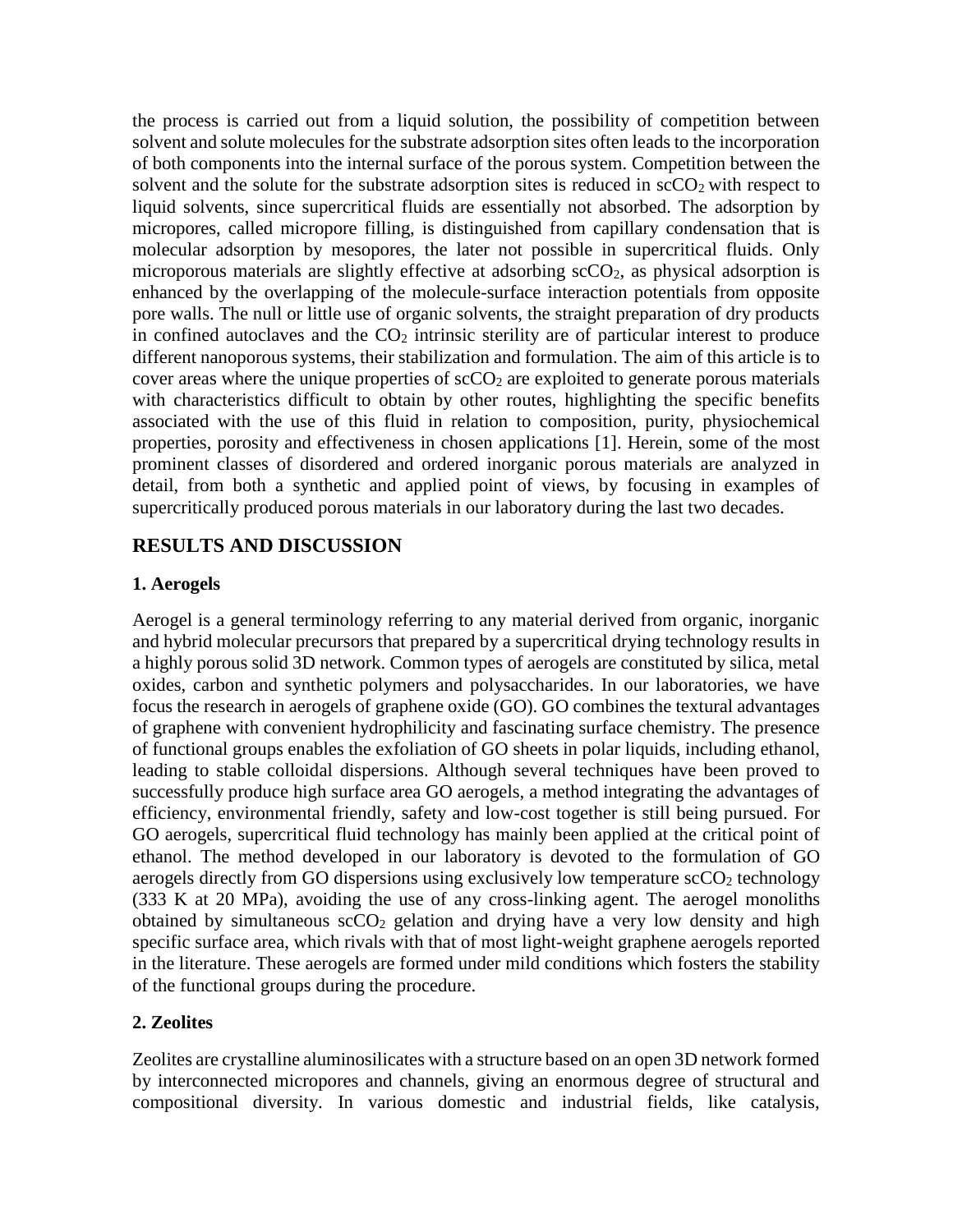the process is carried out from a liquid solution, the possibility of competition between solvent and solute molecules for the substrate adsorption sites often leads to the incorporation of both components into the internal surface of the porous system. Competition between the solvent and the solute for the substrate adsorption sites is reduced in  $\sec O_2$  with respect to liquid solvents, since supercritical fluids are essentially not absorbed. The adsorption by micropores, called micropore filling, is distinguished from capillary condensation that is molecular adsorption by mesopores, the later not possible in supercritical fluids. Only microporous materials are slightly effective at adsorbing  $\text{scCO}_2$ , as physical adsorption is enhanced by the overlapping of the molecule-surface interaction potentials from opposite pore walls. The null or little use of organic solvents, the straight preparation of dry products in confined autoclaves and the  $CO<sub>2</sub>$  intrinsic sterility are of particular interest to produce different nanoporous systems, their stabilization and formulation. The aim of this article is to cover areas where the unique properties of  $\sec O_2$  are exploited to generate porous materials with characteristics difficult to obtain by other routes, highlighting the specific benefits associated with the use of this fluid in relation to composition, purity, physiochemical properties, porosity and effectiveness in chosen applications [1]. Herein, some of the most prominent classes of disordered and ordered inorganic porous materials are analyzed in detail, from both a synthetic and applied point of views, by focusing in examples of supercritically produced porous materials in our laboratory during the last two decades.

## **RESULTS AND DISCUSSION**

#### **1. Aerogels**

Aerogel is a general terminology referring to any material derived from organic, inorganic and hybrid molecular precursors that prepared by a supercritical drying technology results in a highly porous solid 3D network. Common types of aerogels are constituted by silica, metal oxides, carbon and synthetic polymers and polysaccharides. In our laboratories, we have focus the research in aerogels of graphene oxide (GO). GO combines the textural advantages of graphene with convenient hydrophilicity and fascinating surface chemistry. The presence of functional groups enables the exfoliation of GO sheets in polar liquids, including ethanol, leading to stable colloidal dispersions. Although several techniques have been proved to successfully produce high surface area GO aerogels, a method integrating the advantages of efficiency, environmental friendly, safety and low-cost together is still being pursued. For GO aerogels, supercritical fluid technology has mainly been applied at the critical point of ethanol. The method developed in our laboratory is devoted to the formulation of GO aerogels directly from GO dispersions using exclusively low temperature  $\sec O_2$  technology (333 K at 20 MPa), avoiding the use of any cross-linking agent. The aerogel monoliths obtained by simultaneous  $\sec O_2$  gelation and drying have a very low density and high specific surface area, which rivals with that of most light-weight graphene aerogels reported in the literature. These aerogels are formed under mild conditions which fosters the stability of the functional groups during the procedure.

#### **2. Zeolites**

Zeolites are crystalline aluminosilicates with a structure based on an open 3D network formed by interconnected micropores and channels, giving an enormous degree of structural and compositional diversity. In various domestic and industrial fields, like catalysis,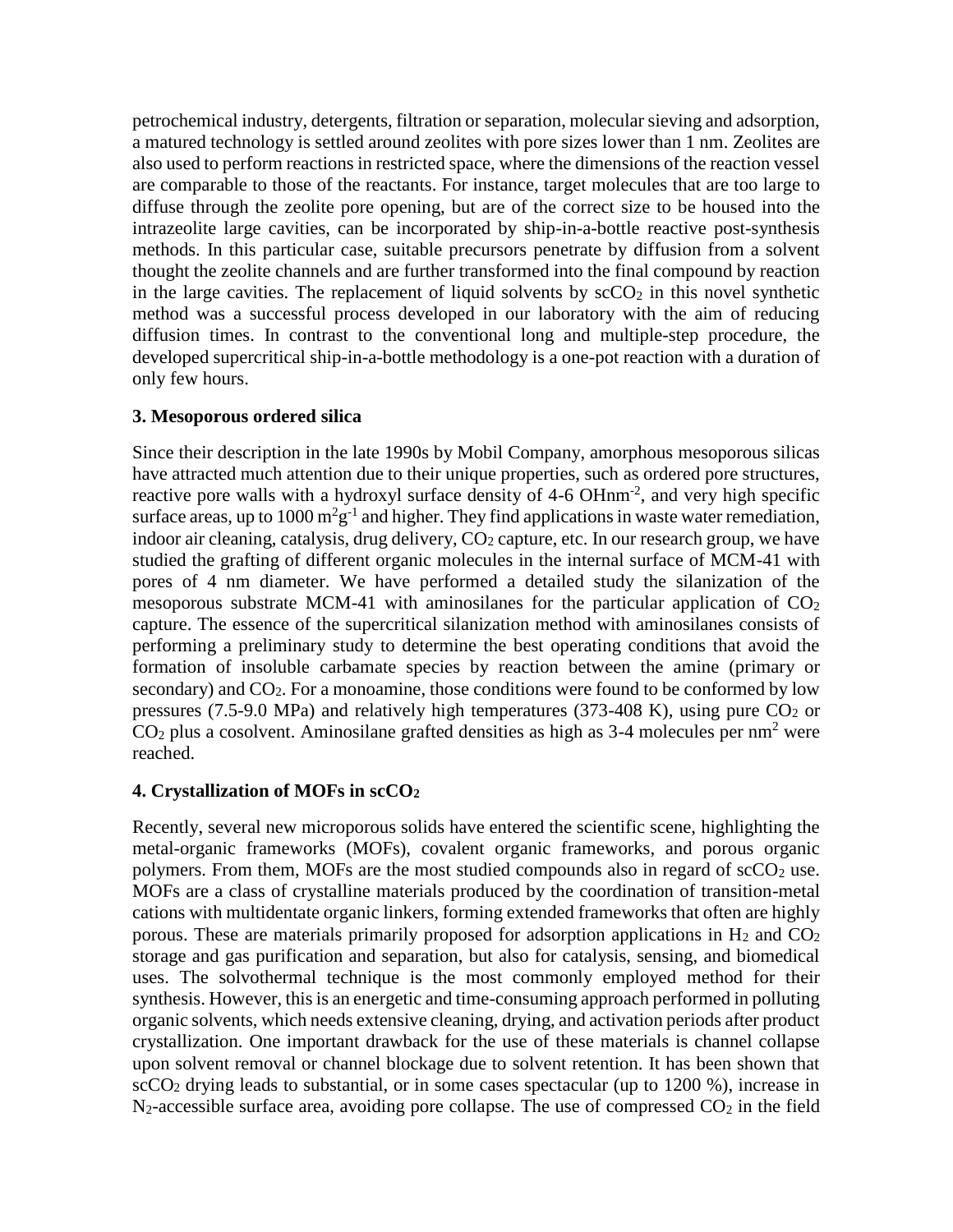petrochemical industry, detergents, filtration or separation, molecular sieving and adsorption, a matured technology is settled around zeolites with pore sizes lower than 1 nm. Zeolites are also used to perform reactions in restricted space, where the dimensions of the reaction vessel are comparable to those of the reactants. For instance, target molecules that are too large to diffuse through the zeolite pore opening, but are of the correct size to be housed into the intrazeolite large cavities, can be incorporated by ship-in-a-bottle reactive post-synthesis methods. In this particular case, suitable precursors penetrate by diffusion from a solvent thought the zeolite channels and are further transformed into the final compound by reaction in the large cavities. The replacement of liquid solvents by  $\sec O_2$  in this novel synthetic method was a successful process developed in our laboratory with the aim of reducing diffusion times. In contrast to the conventional long and multiple-step procedure, the developed supercritical ship-in-a-bottle methodology is a one-pot reaction with a duration of only few hours.

#### **3. Mesoporous ordered silica**

Since their description in the late 1990s by Mobil Company, amorphous mesoporous silicas have attracted much attention due to their unique properties, such as ordered pore structures, reactive pore walls with a hydroxyl surface density of 4-6 OHnm<sup>-2</sup>, and very high specific surface areas, up to 1000  $m^2g^{-1}$  and higher. They find applications in waste water remediation, indoor air cleaning, catalysis, drug delivery, CO<sub>2</sub> capture, etc. In our research group, we have studied the grafting of different organic molecules in the internal surface of MCM-41 with pores of 4 nm diameter. We have performed a detailed study the silanization of the mesoporous substrate MCM-41 with aminosilanes for the particular application of  $CO<sub>2</sub>$ capture. The essence of the supercritical silanization method with aminosilanes consists of performing a preliminary study to determine the best operating conditions that avoid the formation of insoluble carbamate species by reaction between the amine (primary or secondary) and  $CO<sub>2</sub>$ . For a monoamine, those conditions were found to be conformed by low pressures (7.5-9.0 MPa) and relatively high temperatures (373-408 K), using pure  $CO<sub>2</sub>$  or  $CO<sub>2</sub>$  plus a cosolvent. Aminosilane grafted densities as high as 3-4 molecules per nm<sup>2</sup> were reached.

#### **4. Crystallization of MOFs in scCO<sup>2</sup>**

Recently, several new microporous solids have entered the scientific scene, highlighting the metal-organic frameworks (MOFs), covalent organic frameworks, and porous organic polymers. From them, MOFs are the most studied compounds also in regard of  $\text{scCO}_2$  use. MOFs are a class of crystalline materials produced by the coordination of transition-metal cations with multidentate organic linkers, forming extended frameworks that often are highly porous. These are materials primarily proposed for adsorption applications in  $H_2$  and  $CO_2$ storage and gas purification and separation, but also for catalysis, sensing, and biomedical uses. The solvothermal technique is the most commonly employed method for their synthesis. However, this is an energetic and time-consuming approach performed in polluting organic solvents, which needs extensive cleaning, drying, and activation periods after product crystallization. One important drawback for the use of these materials is channel collapse upon solvent removal or channel blockage due to solvent retention. It has been shown that  $\sec{CO_2}$  drying leads to substantial, or in some cases spectacular (up to 1200 %), increase in  $N_2$ -accessible surface area, avoiding pore collapse. The use of compressed  $CO_2$  in the field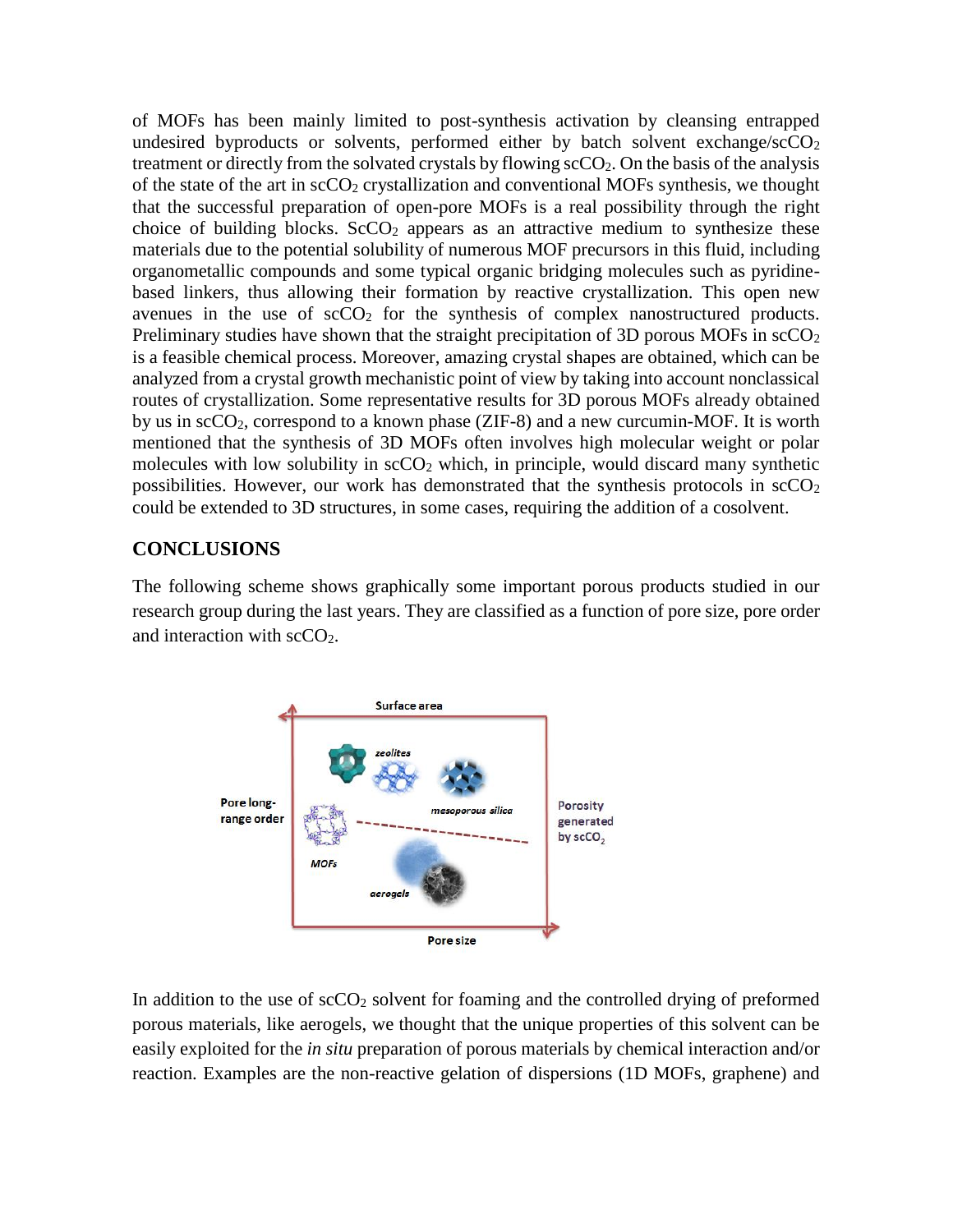of MOFs has been mainly limited to post-synthesis activation by cleansing entrapped undesired byproducts or solvents, performed either by batch solvent exchange/ $\sec O_2$ treatment or directly from the solvated crystals by flowing scCO<sub>2</sub>. On the basis of the analysis of the state of the art in  $\sec O_2$  crystallization and conventional MOFs synthesis, we thought that the successful preparation of open-pore MOFs is a real possibility through the right choice of building blocks.  $ScCO<sub>2</sub>$  appears as an attractive medium to synthesize these materials due to the potential solubility of numerous MOF precursors in this fluid, including organometallic compounds and some typical organic bridging molecules such as pyridinebased linkers, thus allowing their formation by reactive crystallization. This open new avenues in the use of  $\sec O_2$  for the synthesis of complex nanostructured products. Preliminary studies have shown that the straight precipitation of 3D porous MOFs in  $\text{scCO}_2$ is a feasible chemical process. Moreover, amazing crystal shapes are obtained, which can be analyzed from a crystal growth mechanistic point of view by taking into account nonclassical routes of crystallization. Some representative results for 3D porous MOFs already obtained by us in scCO2, correspond to a known phase (ZIF-8) and a new curcumin-MOF. It is worth mentioned that the synthesis of 3D MOFs often involves high molecular weight or polar molecules with low solubility in  $\sec O_2$  which, in principle, would discard many synthetic possibilities. However, our work has demonstrated that the synthesis protocols in  $\sec O_2$ could be extended to 3D structures, in some cases, requiring the addition of a cosolvent.

## **CONCLUSIONS**

The following scheme shows graphically some important porous products studied in our research group during the last years. They are classified as a function of pore size, pore order and interaction with scCO<sub>2</sub>.



In addition to the use of  $\sec O_2$  solvent for foaming and the controlled drying of preformed porous materials, like aerogels, we thought that the unique properties of this solvent can be easily exploited for the *in situ* preparation of porous materials by chemical interaction and/or reaction. Examples are the non-reactive gelation of dispersions (1D MOFs, graphene) and